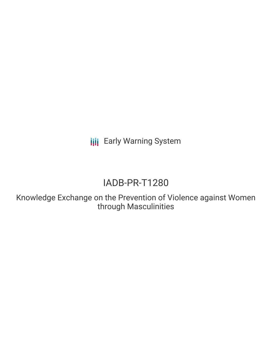**III** Early Warning System

# IADB-PR-T1280

Knowledge Exchange on the Prevention of Violence against Women through Masculinities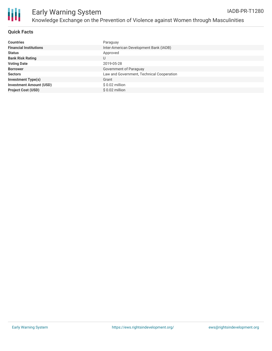

### **Quick Facts**

| <b>Countries</b>               | Paraguay                                  |
|--------------------------------|-------------------------------------------|
| <b>Financial Institutions</b>  | Inter-American Development Bank (IADB)    |
| <b>Status</b>                  | Approved                                  |
| <b>Bank Risk Rating</b>        | U                                         |
| <b>Voting Date</b>             | 2019-05-28                                |
| <b>Borrower</b>                | Government of Paraguay                    |
| <b>Sectors</b>                 | Law and Government, Technical Cooperation |
| <b>Investment Type(s)</b>      | Grant                                     |
| <b>Investment Amount (USD)</b> | $$0.02$ million                           |
| <b>Project Cost (USD)</b>      | $$0.02$ million                           |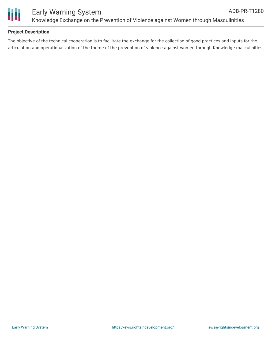

## **Project Description**

The objective of the technical cooperation is to facilitate the exchange for the collection of good practices and inputs for the articulation and operationalization of the theme of the prevention of violence against women through Knowledge masculinities.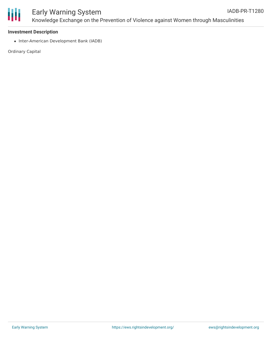

#### **Investment Description**

• Inter-American Development Bank (IADB)

Ordinary Capital